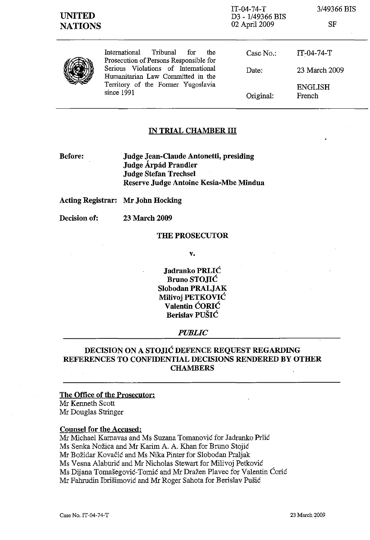| <b>UNITED</b><br><b>NATIONS</b> |                                                                                                                                                                                                                   | $IT-04-74-T$<br>D3 - 1/49366 BIS<br>02 April 2009 | 3/49366 BIS<br>SF        |
|---------------------------------|-------------------------------------------------------------------------------------------------------------------------------------------------------------------------------------------------------------------|---------------------------------------------------|--------------------------|
|                                 | International<br>Tribunal<br>the<br>for<br>Prosecution of Persons Responsible for<br>Serious Violations of International<br>Humanitarian Law Committed in the<br>Territory of the Former Yugoslavia<br>since 1991 | Case $No.$ :                                      | $IT-04-74-T$             |
|                                 |                                                                                                                                                                                                                   | Date:                                             | 23 March 2009            |
|                                 |                                                                                                                                                                                                                   | Original:                                         | <b>ENGLISH</b><br>French |

## **IN TRIAL CHAMBER III**

**Before:** 

**Judge Jean-Claude Antonetti, presiding Judge Arpâd Prandler Judge Stefan Trechsel Reserve Judge Antoine Kesia-Mbe Mindua** 

**Acting Registrar: Mr John Hocking** 

**Decision of: 23 March 2009** 

### **THE PROSECUTOR**

v.

**Jadranko PRLIé Bruno STOJIé Slobodan PRALJAK Milivoj PETKOVIé Valentin éORIé Berislav PUSIé** 

#### *PUBLIC*

# **DECISION ON A STOJIĆ DEFENCE REQUEST REGARDING REFERENCES TO CONFIDENTIAL DECISIONS RENDERED BY OTHER CHAMBERS**

### **The Office of the Prosecutor:**  Mr Kenneth Scott

Mr Douglas Stringer

## **Counsel for the Accused:**

Mr Michael Karnavas and Ms Suzana Tomanovié for Jadranko Prlié

Ms Senka Nozica and Mr Karim A. A. Khan for Bruno Stojié

Mr Bozidar Kovacié and Ms Nika Pinter for Slobodan Praljak

Ms Vesna Alaburié and Mr Nicholas Stewart for Milivoj Petkovié

Ms Dijana Tomašegović-Tomić and Mr Dražen Plavec for Valentin Ćorić

Mr Fahrudin Ibrisimovié and Mr Roger Sahota for Berislav Pusié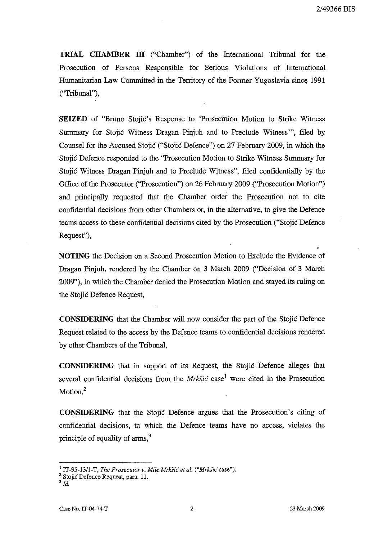**TRIAL CHAMBER III** ("Chamber") of the International Tribunal for the Prosecution of Persons Responsible for Serious Violations of International Humanitarian Law Committed in the Territory of the Former Yugoslavia since 1991 ("Tribunal"),

**SEIZED** of "Bruno Stojié's Response to 'Prosecution Motion to Strike Witness Summary for Stojić Witness Dragan Pinjuh and to Preclude Witness'", filed by Counsel for the Accused Stojié ("Stojié Defence") on 27 February 2009, in which the Stojić Defence responded to the "Prosecution Motion to Strike Witness Summary for Stojié Witness Dragan Pinjuh and to Preclude Witness", filed confidentially by the Office of the Prosecutor ("Prosecution") on 26 February 2009 ("Prosecution Motion") and principally requested that the Chamber order the Prosecution not to cite confidential decisions from other Chambers or, in the alternative, to give the Defence teams access to these confidential decisions cited by the Prosecution ("Stojié Defence Request"),

**NOTING** the Decision on a Second Prosecution Motion to Exclude the Evidence of Dragan Pinjuh, rendered by the Chamber on 3 March 2009 ("Decision of 3 March 2009"), in which the Chamber denied the Prosecution Motion and stayed its ruling on the Stojié Defence Request,

**CONSIDERING** that the Chamber will now consider the part of the Stojié Defence Request related to the access by the Defence teams to confidential decisions rendered by other Chambers of the Tribunal,

**CONSIDERING** that in support of its Request, the Stojié Defence alleges that several confidential decisions from the Mrkšić case<sup>1</sup> were cited in the Prosecution Motion. $<sup>2</sup>$ </sup>

**CONSIDERING** that the Stojié Defence argues that the Prosecution's citing of confidential decisions, to which the Defence teams have no access, violates the principle of equality of  $\text{arms}^3$ 

<sup>1</sup> IT-95-13/l-T, *The Prosecutor v. Mile MrkSié et al. ("MrkSié* case").

<sup>&</sup>lt;sup>2</sup> Stojić Defence Request, para. 11.

<sup>3</sup> *Id.*